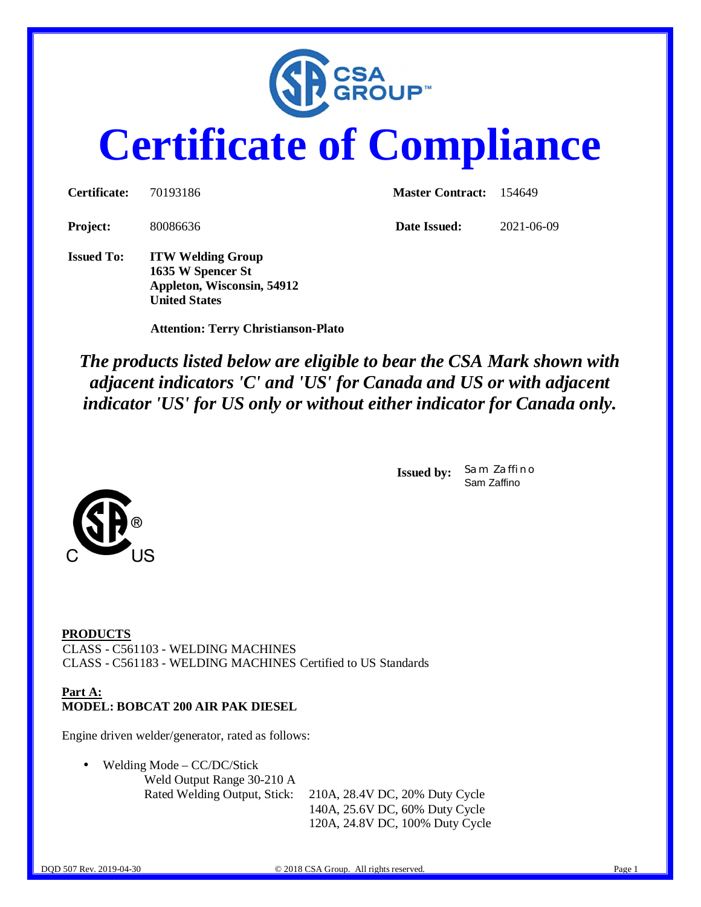

# **Certificate of Compliance**

| <b>Certificate:</b> | 70193186                                                                    | <b>Master Contract:</b> 154649 |            |  |
|---------------------|-----------------------------------------------------------------------------|--------------------------------|------------|--|
| <b>Project:</b>     | 80086636                                                                    | Date Issued:                   | 2021-06-09 |  |
| <b>Issued To:</b>   | <b>ITW Welding Group</b><br>1635 W Spencer St<br>Appleton, Wisconsin, 54912 |                                |            |  |

 **Attention: Terry Christianson-Plato**

**United States**

*The products listed below are eligible to bear the CSA Mark shown with adjacent indicators 'C' and 'US' for Canada and US or with adjacent indicator 'US' for US only or without either indicator for Canada only.*

> **Issued by:** *Sam Zaffino* Sam Zaffino



**PRODUCTS** CLASS - C561103 - WELDING MACHINES CLASS - C561183 - WELDING MACHINES Certified to US Standards

#### **Part A: MODEL: BOBCAT 200 AIR PAK DIESEL**

Engine driven welder/generator, rated as follows:

Welding Mode – CC/DC/Stick

Weld Output Range 30-210 A

Rated Welding Output, Stick: 210A, 28.4V DC, 20% Duty Cycle 140A, 25.6V DC, 60% Duty Cycle 120A, 24.8V DC, 100% Duty Cycle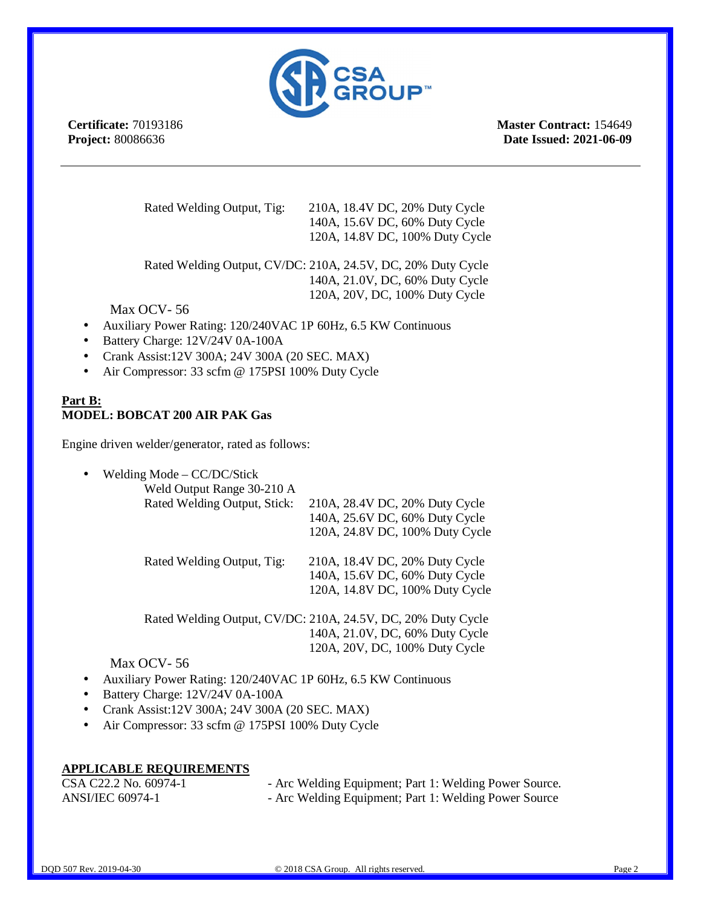

**Certificate:** 70193186 **Project:** 80086636

**Master Contract:** 154649 **Date Issued: 2021-06-09**

Rated Welding Output, Tig: 210A, 18.4V DC, 20% Duty Cycle 140A, 15.6V DC, 60% Duty Cycle 120A, 14.8V DC, 100% Duty Cycle

Rated Welding Output, CV/DC: 210A, 24.5V, DC, 20% Duty Cycle 140A, 21.0V, DC, 60% Duty Cycle 120A, 20V, DC, 100% Duty Cycle

### Max OCV- 56

- Auxiliary Power Rating: 120/240VAC 1P 60Hz, 6.5 KW Continuous
- Battery Charge: 12V/24V 0A-100A
- Crank Assist:12V 300A; 24V 300A (20 SEC. MAX)
- Air Compressor: 33 scfm @ 175PSI 100% Duty Cycle

#### **Part B: MODEL: BOBCAT 200 AIR PAK Gas**

Engine driven welder/generator, rated as follows:

Welding Mode – CC/DC/Stick

| Weld Output Range 30-210 A<br>Rated Welding Output, Stick: | 210A, 28.4V DC, 20% Duty Cycle<br>140A, 25.6V DC, 60% Duty Cycle<br>120A, 24.8V DC, 100% Duty Cycle |
|------------------------------------------------------------|-----------------------------------------------------------------------------------------------------|
| Rated Welding Output, Tig:                                 | 210A, 18.4V DC, 20% Duty Cycle<br>140A, 15.6V DC, 60% Duty Cycle<br>120A, 14.8V DC, 100% Duty Cycle |

Rated Welding Output, CV/DC: 210A, 24.5V, DC, 20% Duty Cycle 140A, 21.0V, DC, 60% Duty Cycle 120A, 20V, DC, 100% Duty Cycle

#### Max OCV- 56

- Auxiliary Power Rating: 120/240VAC 1P 60Hz, 6.5 KW Continuous
- Battery Charge: 12V/24V 0A-100A
- Crank Assist:12V 300A; 24V 300A (20 SEC. MAX)
- Air Compressor: 33 scfm @ 175PSI 100% Duty Cycle

### **APPLICABLE REQUIREMENTS**

| CSA C22.2 No. 60974-1   | - Arc Welding Equipment; Part 1: Welding Power Source. |
|-------------------------|--------------------------------------------------------|
| <b>ANSI/IEC 60974-1</b> | - Arc Welding Equipment; Part 1: Welding Power Source  |